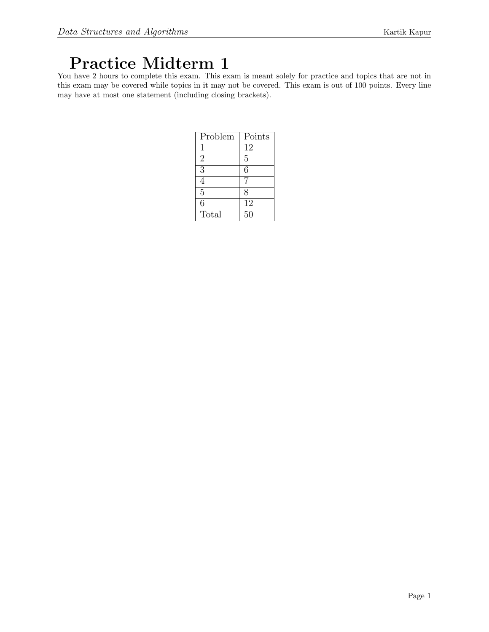# Practice Midterm 1

You have 2 hours to complete this exam. This exam is meant solely for practice and topics that are not in this exam may be covered while topics in it may not be covered. This exam is out of 100 points. Every line may have at most one statement (including closing brackets).

| Problem        | Points          |
|----------------|-----------------|
| 1              | 12              |
| $\overline{2}$ | 5               |
| 3              | 6               |
| 4              |                 |
| $\overline{5}$ | 8               |
| 6              | $\overline{12}$ |
| Total          | 50              |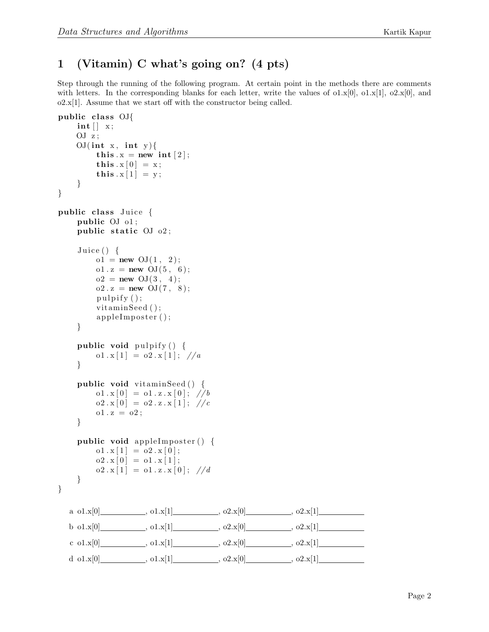# 1 (Vitamin) C what's going on? (4 pts)

Step through the running of the following program. At certain point in the methods there are comments with letters. In the corresponding blanks for each letter, write the values of  $\sigma$ 1.x[0],  $\sigma$ 1.x[1],  $\sigma$ 2.x[0], and  $o2.x[1]$ . Assume that we start off with the constructor being called.

```
public class OJ{
    \mathbf{int} \left[ \ \right] \ x;OJ z;
    OJ(int x, int y){
         this x = new int [2];this x[0] = x;this x[1] = y;}
}
public class Juice {
    public OJ o1;
    public static OJ_02;
    Juice () \{o1 = new \; OJ(1, 2);o1 x = new OJ(5, 6);o2 = new \text{OJ}(3, 4);o2 \t{.} z = new \tOJ(7, 8);p ulpify ( );vitaminSeed ();
         appleImposter ();
    }
    public void pulpify () {
         o1 x[1] = o2 x[1]; \ \frac{\pi}{4}}
    public void vitaminSeed () \{o1 x [0] = o1 x x [0]; \ \n1/bo2 \cdot x [0] = o2 \cdot z \cdot x [1]; \text{ // } co1 x = o2;}
    public void apple Imposter () \{o1 \cdot x [1] = o2 \cdot x [0];o2 \cdot x [0] = o1 \cdot x [1];o2 \cdot x [1] = o1 \cdot z \cdot x [0]; \ \n1/d}
}
  a 0.1 \times [0], 0.1 \times [1], 0.2 \times [0], 0.2 \times [1]b o1.x[0] , o1.x[1] , o2.x[0] , o2.x[0] , o2.x[1]
   c o1.x[0] , o1.x[1] , o2.x[0] , o2.x[1] , o2.x[1] , o2.x[1]
  d o1.x[0] , o1.x[1] , o2.x[0] , o2.x[1] , o2.x[1] , o2.x[1]
```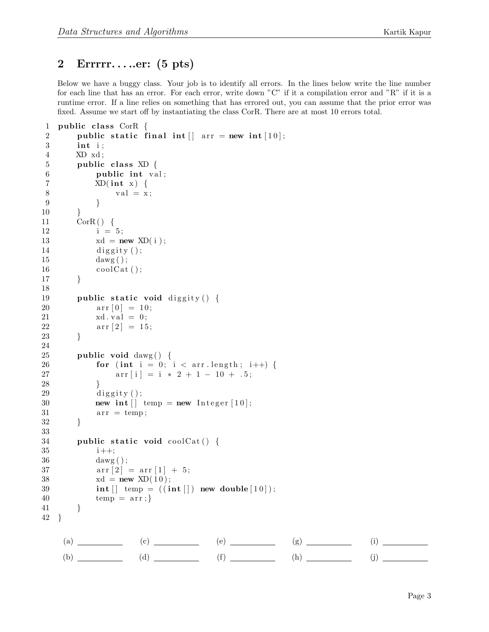#### 2 Errrrr. . . ..er: (5 pts)

Below we have a buggy class. Your job is to identify all errors. In the lines below write the line number for each line that has an error. For each error, write down "C" if it a compilation error and "R" if it is a runtime error. If a line relies on something that has errored out, you can assume that the prior error was fixed. Assume we start off by instantiating the class CorR. There are at most 10 errors total.

```
1 public class CorR \{2 public static final int \vert \vert arr = new int [10];
3 int i ;
4 XD xd ;
5 public class XD \{6 public int val;
7 XD(int x) {
8 val = x;9 }
10 }
11 \qquad \text{CorR}() \quad \{12 i = 5;
13 xd = new \; XD(i);
14 diggity ();
15 dawg();
16 \qquad \qquad \text{coolCat}();
17 }
18
19 public static void diggity () {
20 \ar{r} [0] = 10;21 xd. val = 0;22 \ar{r} [2] = 15;23 }
24
25 public void dawg() {
26 for (int i = 0; i < arr length; i++) {
27 \ar{r[i]} = i * 2 + 1 - 10 + .5;28 }
29 diggity ();
30 new int \begin{bmatrix} \end{bmatrix} temp = new Integer \begin{bmatrix} 10 \end{bmatrix};
31 \quad \text{arr} = \text{temp};32 }
33
34 public static void coolCat() {
35 i ++;
36 dawg ( ) ;
37 \ar{r}{2} = \ar{r}{1} + 5;38 xd = new \, \text{XD}(10);39 int \begin{bmatrix} \end{bmatrix} temp = ((\text{int } \begin{bmatrix} \end{bmatrix}) new double [10]);
40 temp = arr;41 }
42 }
```
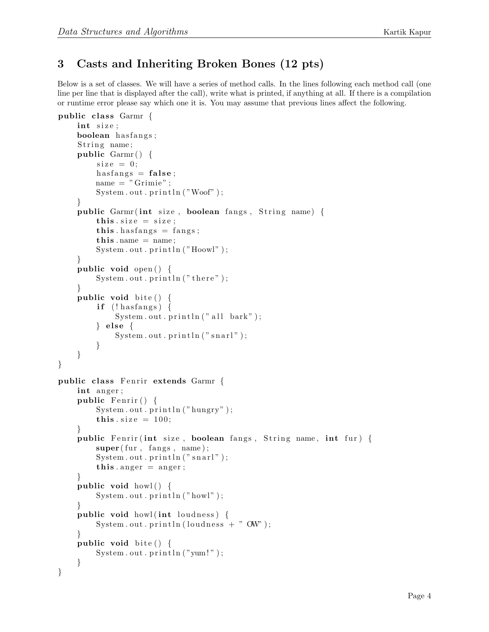# 3 Casts and Inheriting Broken Bones (12 pts)

Below is a set of classes. We will have a series of method calls. In the lines following each method call (one line per line that is displayed after the call), write what is printed, if anything at all. If there is a compilation or runtime error please say which one it is. You may assume that previous lines affect the following.

```
public class Garmr \{int size;
    boolean hasfangs;
    String name;
    public Garmr() {
        size = 0;
        has fangs = false;
        name = "Grimie";System.out.println("Woof");
    }
    public Garmr(int size, boolean fangs, String name)this size = size;this . has fangs = fangs;
        this. name = name;
        System.out.println("Hoowl");}
    public void open () {
        System . out . printh(n ("there");
    }
    public void bite() {
        if (!has fangs) {
            System.out.println("all bark");\} else \{System.out.println("snarl");}
    }
}
public class Fenrir extends Garmr {
    int anger;
    public Fenrir() \{System.out.println("hungry");this size = 100;}
    public Fenrir (int size, boolean fangs, String name, int fur) {
        super(fur, fangs, name);System.out.println("snarl");this . anger = anger;
    }
    public void howl() {
        System.out.println("howl");}
    public void howl (int loudness) {
        System.out.println(loudness + " OW");
    }
    public void bite() {
        System.out.println("yum!");}
}
```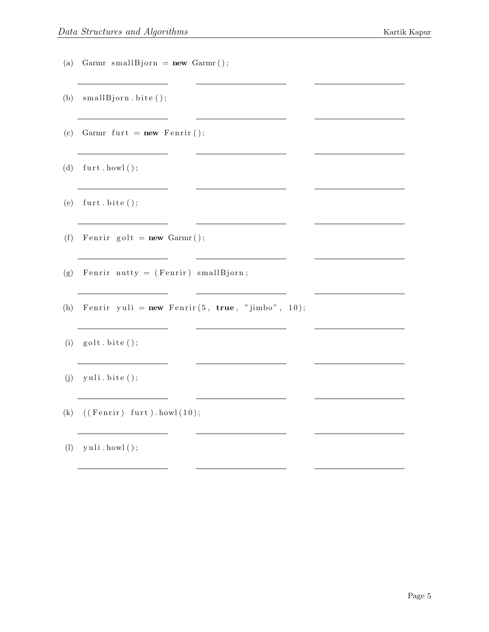- (a) Garmr smallBjorn =  $new$  Garmr();
- (b)  $small Bjorn.~bite()$ ;
- (c) Garmr furt =  $new$  Fenrir ();
- (d)  $furt.howl()$ ;
- (e)  $furt.bite()$ ;
- (f) Fenrir golt =  $new$  Garmr();
- (g) Fenrir nutty = (Fenrir) smallBjorn;
- (h) Fenrir yuli =  $new$  Fenrir  $(5, true, "jimbo", 10);$

<u> 1989 - Johann Barn, mars ann an t-Amhain</u>

<u> Alexandria (Carlo Carlo Carlo Carlo Carlo Carlo Carlo Carlo Carlo Carlo Carlo Carlo Carlo Carlo Carlo Carlo Ca</u>

- $(i)$  golt  $bite()$ ;
- $(j)$  yuli.bite  $();$
- (k)  $((\text{Fenrir}) \text{furt}) \text{. howl } (10);$
- $(l)$  yuli . howl();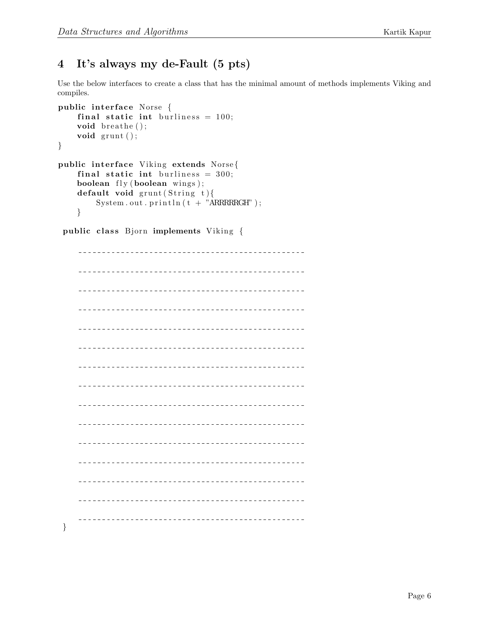# 4 It's always my de-Fault (5 pts)

Use the below interfaces to create a class that has the minimal amount of methods implements Viking and compiles.

```
public interface Norse {
    final static int burliness = 100;
    void breathe();
    void grunt();
}
public interface Viking extends Norse{
    final static int burliness = 300;
    boolean fly (boolean wings );default void grunt (String t)System.out.println(t + "ARRRRRGHT ;
    }
```
public class Bjorn implements Viking {

}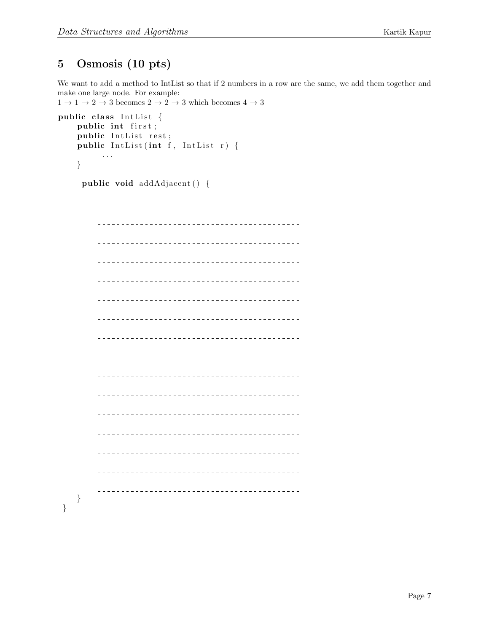# 5 Osmosis (10 pts)

We want to add a method to IntList so that if 2 numbers in a row are the same, we add them together and make one large node. For example:

```
1 \rightarrow 1 \rightarrow 2 \rightarrow 3 becomes 2 \rightarrow 2 \rightarrow 3 which becomes 4 \rightarrow 3public class IntList {
 public int first;
 public IntList rest;
 public IntList (int f, IntList r) {
  . . .
 }
 public void addAdjacent() {
  }
}
```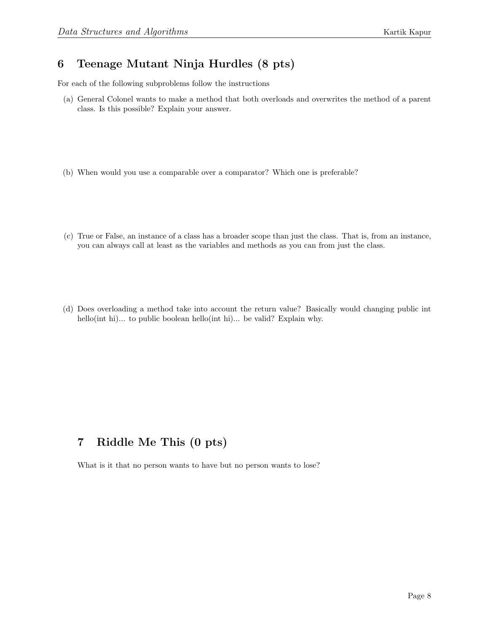### 6 Teenage Mutant Ninja Hurdles (8 pts)

For each of the following subproblems follow the instructions

- (a) General Colonel wants to make a method that both overloads and overwrites the method of a parent class. Is this possible? Explain your answer.
- (b) When would you use a comparable over a comparator? Which one is preferable?
- (c) True or False, an instance of a class has a broader scope than just the class. That is, from an instance, you can always call at least as the variables and methods as you can from just the class.
- (d) Does overloading a method take into account the return value? Basically would changing public int hello(int hi)... to public boolean hello(int hi)... be valid? Explain why.

# 7 Riddle Me This (0 pts)

What is it that no person wants to have but no person wants to lose?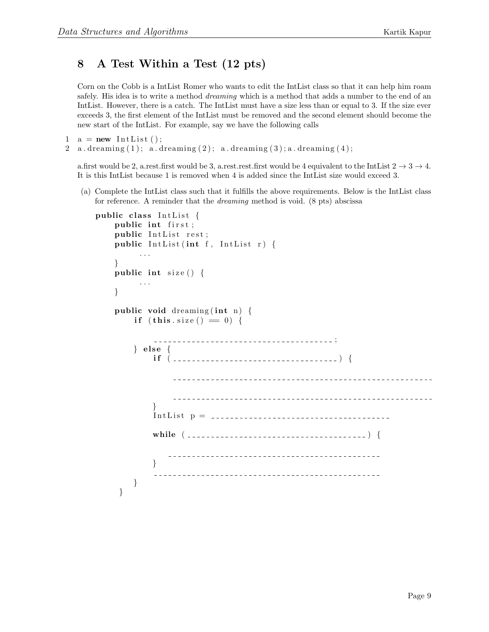## 8 A Test Within a Test (12 pts)

Corn on the Cobb is a IntList Romer who wants to edit the IntList class so that it can help him roam safely. His idea is to write a method *dreaming* which is a method that adds a number to the end of an IntList. However, there is a catch. The IntList must have a size less than or equal to 3. If the size ever exceeds 3, the first element of the IntList must be removed and the second element should become the new start of the IntList. For example, say we have the following calls

```
1 \quad a = new \text{ IntList}();
```

```
2 a. dreaming (1); a. dreaming (2); a. dreaming (3); a. dreaming (4);
```
a.first would be 2, a.rest.first would be 3, a.rest.rest.first would be 4 equivalent to the IntList  $2 \rightarrow 3 \rightarrow 4$ . It is this IntList because 1 is removed when 4 is added since the IntList size would exceed 3.

(a) Complete the IntList class such that it fulfills the above requirements. Below is the IntList class for reference. A reminder that the dreaming method is void. (8 pts) abscissa

```
public class IntList {
  public int first;
  public IntList rest;
  public IntList (int f, IntList r) {
     . . .
  }
  public int size () {
     . . .
  }
  public void dreaming (int n) \{if (this.size() == 0) {
       --------------------------------------;
     \} else {
       i f ( ) {
              ______________________________
            }
       I n t L i s t p =
       while ( ) {
         }
             }
   }
```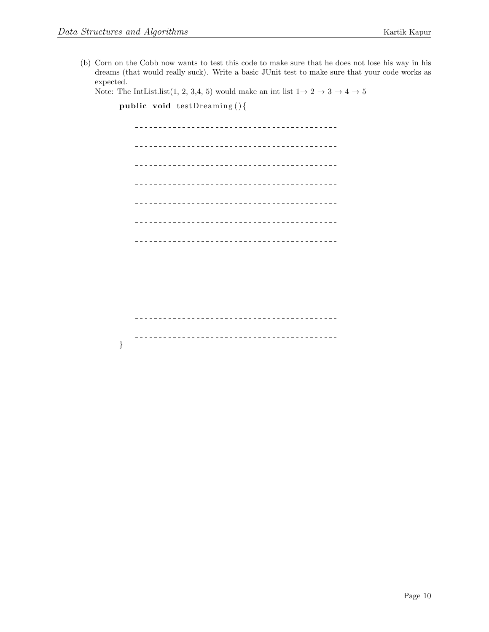}

(b) Corn on the Cobb now wants to test this code to make sure that he does not lose his way in his dreams (that would really suck). Write a basic JUnit test to make sure that your code works as expected.

Note: The IntList.list(1, 2, 3,4, 5) would make an int list  $1 \rightarrow 2 \rightarrow 3 \rightarrow 4 \rightarrow 5$ 

public void testDreaming(){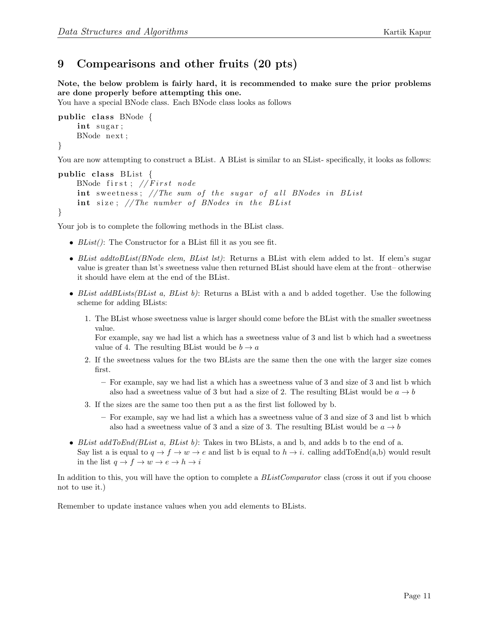# 9 Compearisons and other fruits (20 pts)

Note, the below problem is fairly hard, it is recommended to make sure the prior problems are done properly before attempting this one.

You have a special BNode class. Each BNode class looks as follows

```
public class BNode \{int sugar;
    BNode next ;
}
```
You are now attempting to construct a BList. A BList is similar to an SList- specifically, it looks as follows:

```
public class BList \{BNode first; // First nodeint sweetness; //The sum of the sugar of all BNodes in BList
    int size; // The number of BNodes in the BL ist
}
```
Your job is to complete the following methods in the BList class.

- $BList()$ : The Constructor for a BList fill it as you see fit.
- BList addtoBList(BNode elem, BList lst): Returns a BList with elem added to lst. If elem's sugar value is greater than lst's sweetness value then returned BList should have elem at the front– otherwise it should have elem at the end of the BList.
- BList addBLists(BList a, BList b): Returns a BList with a and b added together. Use the following scheme for adding BLists:
	- 1. The BList whose sweetness value is larger should come before the BList with the smaller sweetness value.

For example, say we had list a which has a sweetness value of 3 and list b which had a sweetness value of 4. The resulting BList would be  $b \to a$ 

- 2. If the sweetness values for the two BLists are the same then the one with the larger size comes first.
	- For example, say we had list a which has a sweetness value of 3 and size of 3 and list b which also had a sweetness value of 3 but had a size of 2. The resulting BList would be  $a \rightarrow b$
- 3. If the sizes are the same too then put a as the first list followed by b.
	- For example, say we had list a which has a sweetness value of 3 and size of 3 and list b which also had a sweetness value of 3 and a size of 3. The resulting BList would be  $a \rightarrow b$
- BList  $addToEnd(BList\ a,\ BList\ b)$ : Takes in two BLists, a and b, and adds b to the end of a. Say list a is equal to  $q \to f \to w \to e$  and list b is equal to  $h \to i$ . calling addToEnd(a,b) would result in the list  $q \to f \to w \to e \to h \to i$

In addition to this, you will have the option to complete a BListComparator class (cross it out if you choose not to use it.)

Remember to update instance values when you add elements to BLists.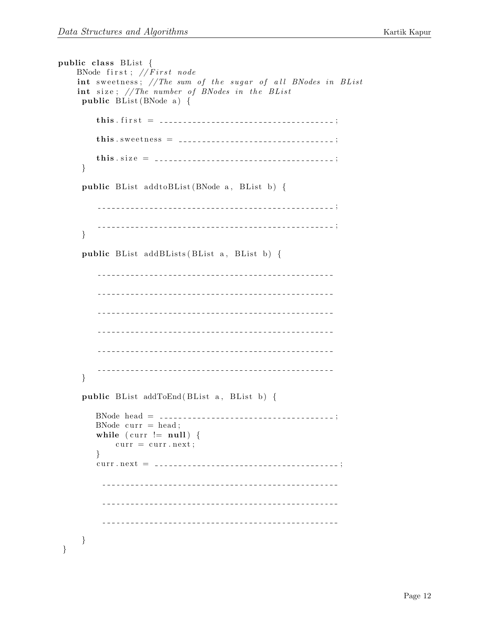```
public class BList \{BNode first; // First nodeint sweetness; // The sum of the sugar of all BNodes in BList
   int size; // The number of BNodes in the BList
   public BList (BNode a) {
      this. first = \ldots = \ldots = \ldots = \ldots = \ldots = \ldots = \ldots = \ldots = \ldots = \ldots = \ldots = \ldots = \ldots = \ldots = \ldots = \ldots = \ldots = \ldots = \ldots = \ldots = \ldots = \ldots = \ldots = \ldots = \ldots = \ldots =
      th is . s w e e t n e s s = ;
      this.size = \ldots = \ldots = \ldots = \ldots = \ldots = \ldots = \ldots = \ldots ;
   }
   public BList add to BList (BNode a, BList b) {
      ;
       ;
   }
   public BList addBLists (BList a, BList b) {
        }
   public BList addToEnd (BList a, BList b) {
     BNode head = ______________________________;
     BNode curr = head;while ( curr != null ) {
        curr = curr.next;}
      curr.next = ___________________________________;
           }
}
```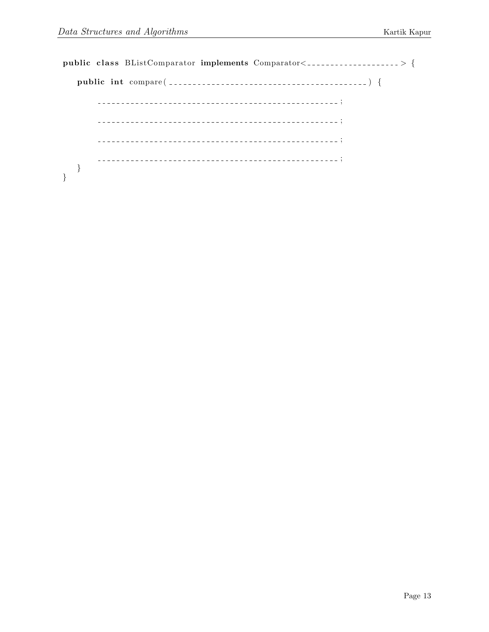public class BListComparator implements  $Comparison < 2$ public int compare ( ) { ; ;  $- - -$ ; ; } }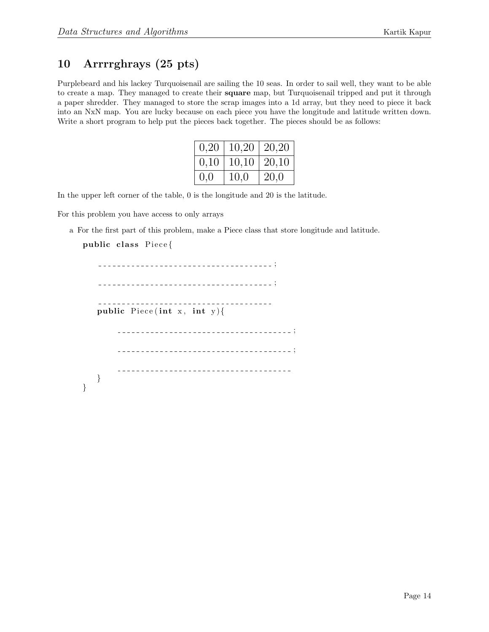### 10 Arrrrghrays (25 pts)

Purplebeard and his lackey Turquoisenail are sailing the 10 seas. In order to sail well, they want to be able to create a map. They managed to create their square map, but Turquoisenail tripped and put it through a paper shredder. They managed to store the scrap images into a 1d array, but they need to piece it back into an NxN map. You are lucky because on each piece you have the longitude and latitude written down. Write a short program to help put the pieces back together. The pieces should be as follows:

| 0,20 | 10,20 | $20,20$ |
|------|-------|---------|
| 0,10 | 10,10 | 20,10   |
| 0,0  | 10,0  | 20,0    |

In the upper left corner of the table, 0 is the longitude and 20 is the latitude.

For this problem you have access to only arrays

a For the first part of this problem, make a Piece class that store longitude and latitude.

#### public class Piece{

}

------------------------------------; --------------------------------; public Piece (int x, int y) { ; ; }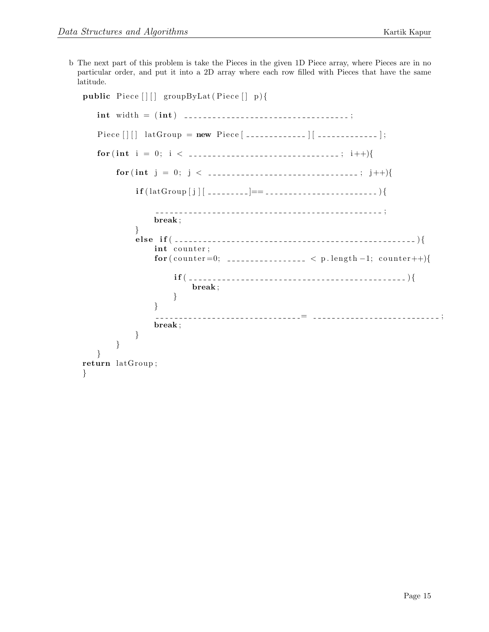b The next part of this problem is take the Pieces in the given 1D Piece array, where Pieces are in no particular order, and put it into a 2D array where each row filled with Pieces that have the same latitude.

```
public Piece [ [ ] groupByLat (Piece [ ] p) {
  int width = ( int ) ;
  Pi e c e [ ] [ ] latGroup = new Pi e c e [ ] [ ] ;
  for (int i = 0; i < \ldots : \ldots : i++){
     for (int j = 0; j < -----------------------------; j++){}i f ( latGroup [ j ] [ ]== ){
                    ;
            break ;
         }
         else if ( \ldots \ldots \ldots \ldots \ldots \ldots \ldots \ldots \ldots \ldots \ldots \ldots \ldotsint counter;
            for (counter=0; \ldots \ldots \ldots \ldots \ldots \lt p.length-1; counter++){
               \textbf{if}(\ ]break ;
               }
            }
                    = ;
            break ;
         }
     }
  }
return latGroup ;
}
```